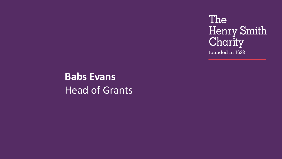The Henry Smith Charity founded in 1628

**Babs Evans** Head of Grants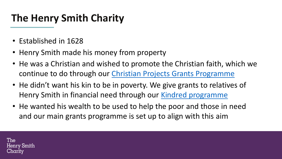## **The Henry Smith Charity**

- Established in 1628
- Henry Smith made his money from property
- He was a Christian and wished to promote the Christian faith, which we continue to do through our [Christian Projects Grants Programme](https://www.henrysmithcharity.org.uk/explore-our-grants-and-apply/christian-projects/christian-projects-overview)
- He didn't want his kin to be in poverty. We give grants to relatives of Henry Smith in financial need through our [Kindred programme](https://www.henrysmithcharity.org.uk/explore-our-grants-and-apply/kindred/kindred-overview/)
- h to he used to help the noor and • He wanted his wealth to be used to help the poor and those in need and our main grants programme is set up to align with this aim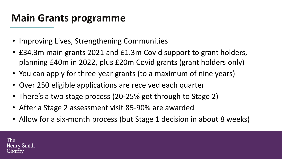#### **Main Grants programme**

- Improving Lives, Strengthening Communities
- £34.3m main grants 2021 and £1.3m Covid support to grant holders, planning £40m in 2022, plus £20m Covid grants (grant holders only)
- You can apply for three-year grants (to a maximum of nine years)
- Over 250 eligible applications are received each quarter
- There's a two stage process (20-25% get through to Stage 2)
- **Additional Additional Property** • After a Stage 2 assessment visit 85-90% are awarded
- Allow for a six-month process (but Stage 1 decision in about 8 weeks)

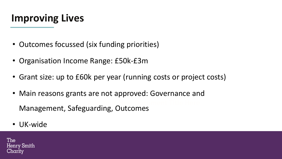## **Improving Lives**

- Outcomes focussed (six funding priorities)
- Organisation Income Range: £50k-£3m
- Grant size: up to £60k per year (running costs or project costs)
- **Add Your New Document Title Here** • Main reasons grants are not approved: Governance and Management, Safeguarding, Outcomes
- UK-wide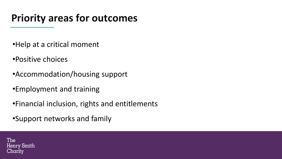## **Priority areas for outcomes**

- •Help at a critical moment
- •Positive choices
- •Accommodation/housing support
- •Employment and training
- **•Financial inclusion, rights and entitlements**
- •Support networks and family

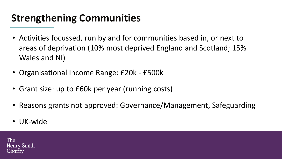# **Strengthening Communities**

- Activities focussed, run by and for communities based in, or next to areas of deprivation (10% most deprived England and Scotland; 15% Wales and NI)
- Organisational Income Range: £20k £500k
- Grant size: up to £60k per year (running costs)
- **Reasons grants not approved: Governance/Management, Safeguarding**
- UK-wide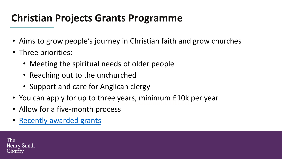## **Christian Projects Grants Programme**

- Aims to grow people's journey in Christian faith and grow churches
- Three priorities:
	- Meeting the spiritual needs of older people
	- Reaching out to the unchurched
	- Support and care for Anglican clergy
- **LO CHILE YOURS, MINIMITALLE TERM PC** • You can apply for up to three years, minimum £10k per year
- Allow for a five-month process
- Recently awarded grants